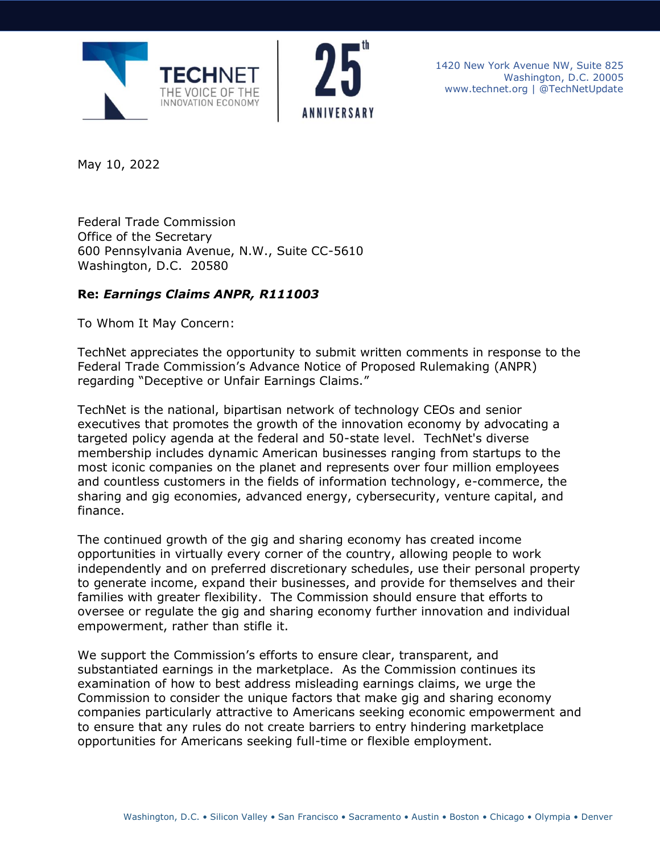



1420 New York Avenue NW, Suite 825 Washington, D.C. 20005 www.technet.org | @TechNetUpdate

May 10, 2022

Federal Trade Commission Office of the Secretary 600 Pennsylvania Avenue, N.W., Suite CC-5610 Washington, D.C. 20580

## **Re:** *Earnings Claims ANPR, R111003*

To Whom It May Concern:

TechNet appreciates the opportunity to submit written comments in response to the Federal Trade Commission's Advance Notice of Proposed Rulemaking (ANPR) regarding "Deceptive or Unfair Earnings Claims."

TechNet is the national, bipartisan network of technology CEOs and senior executives that promotes the growth of the innovation economy by advocating a targeted policy agenda at the federal and 50-state level. TechNet's diverse membership includes dynamic American businesses ranging from startups to the most iconic companies on the planet and represents over four million employees and countless customers in the fields of information technology, e-commerce, the sharing and gig economies, advanced energy, cybersecurity, venture capital, and finance.

The continued growth of the gig and sharing economy has created income opportunities in virtually every corner of the country, allowing people to work independently and on preferred discretionary schedules, use their personal property to generate income, expand their businesses, and provide for themselves and their families with greater flexibility. The Commission should ensure that efforts to oversee or regulate the gig and sharing economy further innovation and individual empowerment, rather than stifle it.

We support the Commission's efforts to ensure clear, transparent, and substantiated earnings in the marketplace. As the Commission continues its examination of how to best address misleading earnings claims, we urge the Commission to consider the unique factors that make gig and sharing economy companies particularly attractive to Americans seeking economic empowerment and to ensure that any rules do not create barriers to entry hindering marketplace opportunities for Americans seeking full-time or flexible employment.